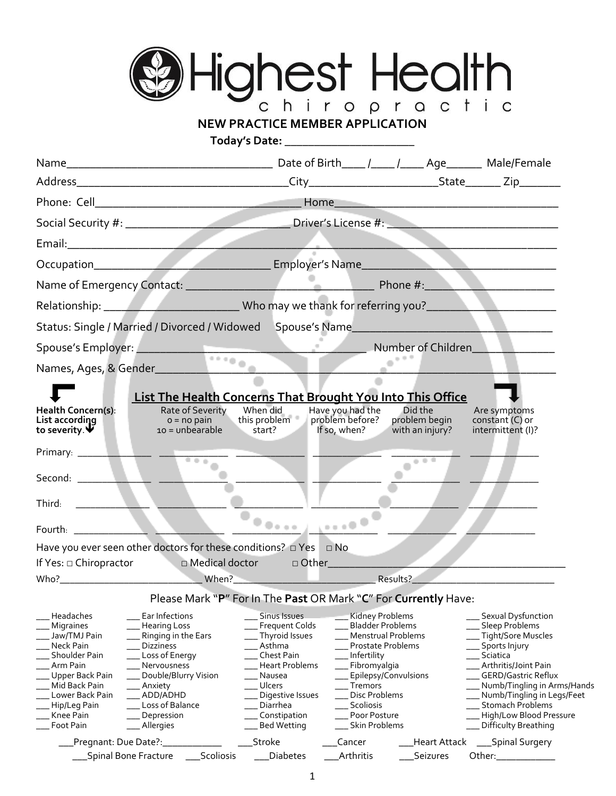

## **NEW PRACTICE MEMBER APPLICATION**

**Today's Date:** \_\_\_\_\_\_\_\_\_\_\_\_\_\_\_\_\_\_\_\_\_\_

|                                                                                                                                                                                          | Email: 2008 - 2008 - 2008 - 2008 - 2009 - 2010 - 2010 - 2010 - 2010 - 2010 - 2010 - 2010 - 2010 - 2010 - 2010                                                                                                   |                                                                                                                                                                                               |                                                                                                                                                                                                                                                    |                                             |                                                                                                                                                                                                                                                                            |
|------------------------------------------------------------------------------------------------------------------------------------------------------------------------------------------|-----------------------------------------------------------------------------------------------------------------------------------------------------------------------------------------------------------------|-----------------------------------------------------------------------------------------------------------------------------------------------------------------------------------------------|----------------------------------------------------------------------------------------------------------------------------------------------------------------------------------------------------------------------------------------------------|---------------------------------------------|----------------------------------------------------------------------------------------------------------------------------------------------------------------------------------------------------------------------------------------------------------------------------|
|                                                                                                                                                                                          |                                                                                                                                                                                                                 |                                                                                                                                                                                               |                                                                                                                                                                                                                                                    |                                             |                                                                                                                                                                                                                                                                            |
|                                                                                                                                                                                          |                                                                                                                                                                                                                 |                                                                                                                                                                                               |                                                                                                                                                                                                                                                    |                                             |                                                                                                                                                                                                                                                                            |
|                                                                                                                                                                                          | Relationship: ______________________________Who may we thank for referring you?________                                                                                                                         |                                                                                                                                                                                               |                                                                                                                                                                                                                                                    |                                             |                                                                                                                                                                                                                                                                            |
|                                                                                                                                                                                          | Status: Single / Married / Divorced / Widowed Spouse's Name                                                                                                                                                     |                                                                                                                                                                                               |                                                                                                                                                                                                                                                    |                                             |                                                                                                                                                                                                                                                                            |
|                                                                                                                                                                                          |                                                                                                                                                                                                                 |                                                                                                                                                                                               |                                                                                                                                                                                                                                                    |                                             |                                                                                                                                                                                                                                                                            |
|                                                                                                                                                                                          | Spouse's Employer: Number of Children                                                                                                                                                                           |                                                                                                                                                                                               | $\sim$ $e^{i\theta}$                                                                                                                                                                                                                               |                                             |                                                                                                                                                                                                                                                                            |
|                                                                                                                                                                                          |                                                                                                                                                                                                                 |                                                                                                                                                                                               |                                                                                                                                                                                                                                                    |                                             |                                                                                                                                                                                                                                                                            |
| Health Concern(s):<br>List according<br>to severity. $\mathbf{\Psi}$                                                                                                                     | List The Health Concerns That Brought You Into This Office<br>Rate of Severity<br>$o = no pain$<br>$10 =$ unbearable                                                                                            | When did<br>this problem<br>$\frac{u_{\text{max}}}{2}$ start?                                                                                                                                 | Have you had the<br>problem before?<br>If so, when?                                                                                                                                                                                                | Did the<br>problem begin<br>with an injury? | Are symptoms<br>constant (C) or<br>intermittent (I)?                                                                                                                                                                                                                       |
| Primary: _________                                                                                                                                                                       |                                                                                                                                                                                                                 |                                                                                                                                                                                               |                                                                                                                                                                                                                                                    |                                             |                                                                                                                                                                                                                                                                            |
|                                                                                                                                                                                          | $-0.0 - 0.$                                                                                                                                                                                                     |                                                                                                                                                                                               |                                                                                                                                                                                                                                                    | $0.0 - 0.0$                                 |                                                                                                                                                                                                                                                                            |
| Third:                                                                                                                                                                                   |                                                                                                                                                                                                                 |                                                                                                                                                                                               |                                                                                                                                                                                                                                                    |                                             |                                                                                                                                                                                                                                                                            |
| <u> 1999 - Alban III.</u>                                                                                                                                                                |                                                                                                                                                                                                                 |                                                                                                                                                                                               |                                                                                                                                                                                                                                                    |                                             |                                                                                                                                                                                                                                                                            |
|                                                                                                                                                                                          |                                                                                                                                                                                                                 |                                                                                                                                                                                               |                                                                                                                                                                                                                                                    |                                             |                                                                                                                                                                                                                                                                            |
|                                                                                                                                                                                          | Have you ever seen other doctors for these conditions? $\Box$ Yes $\Box$ No                                                                                                                                     |                                                                                                                                                                                               |                                                                                                                                                                                                                                                    |                                             |                                                                                                                                                                                                                                                                            |
| If Yes: $\Box$ Chiropractor                                                                                                                                                              | a Medical doctor Medical doctor and Dunner Dunner Dunner and Dunner Dunner Dunner Dunner Dunner Dunner Dunner                                                                                                   |                                                                                                                                                                                               |                                                                                                                                                                                                                                                    |                                             |                                                                                                                                                                                                                                                                            |
|                                                                                                                                                                                          | Please Mark "P" For In The Past OR Mark "C" For Currently Have:                                                                                                                                                 |                                                                                                                                                                                               |                                                                                                                                                                                                                                                    |                                             |                                                                                                                                                                                                                                                                            |
| Headaches<br>Migraines<br>Jaw/TMJ Pain<br>Neck Pain<br><b>Shoulder Pain</b><br>Arm Pain<br>Upper Back Pain<br>Mid Back Pain<br>Lower Back Pain<br>Hip/Leg Pain<br>Knee Pain<br>Foot Pain | Ear Infections<br><b>Hearing Loss</b><br>Ringing in the Ears<br><b>Dizziness</b><br>Loss of Energy<br>Nervousness<br>Double/Blurry Vision<br>Anxiety<br>ADD/ADHD<br>Loss of Balance<br>Depression<br>_Allergies | Sinus Issues<br>Frequent Colds<br>Thyroid Issues<br>. Asthma<br>Chest Pain<br>Heart Problems<br>Nausea<br><b>Ulcers</b><br>Digestive Issues<br>Diarrhea<br>Constipation<br><b>Bed Wetting</b> | <b>Kidney Problems</b><br><b>Bladder Problems</b><br>Menstrual Problems<br><b>Prostate Problems</b><br>Infertility<br>Fibromyalgia<br>Epilepsy/Convulsions<br><b>Tremors</b><br><b>Disc Problems</b><br>Scoliosis<br>Poor Posture<br>Skin Problems |                                             | Sexual Dysfunction<br>Sleep Problems<br>Tight/Sore Muscles<br>Sports Injury<br>Sciatica<br>Arthritis/Joint Pain<br>GERD/Gastric Reflux<br>Numb/Tingling in Arms/Hands<br>Numb/Tingling in Legs/Feet<br>Stomach Problems<br>High/Low Blood Pressure<br>Difficulty Breathing |
| Pregnant: Due Date?:_                                                                                                                                                                    | Scoliosis<br>Spinal Bone Fracture                                                                                                                                                                               | Stroke<br><b>Diabetes</b>                                                                                                                                                                     | Cancer<br>Arthritis                                                                                                                                                                                                                                | Heart Attack<br>Seizures                    | ___Spinal Surgery<br>Other:______________                                                                                                                                                                                                                                  |
|                                                                                                                                                                                          |                                                                                                                                                                                                                 |                                                                                                                                                                                               |                                                                                                                                                                                                                                                    |                                             |                                                                                                                                                                                                                                                                            |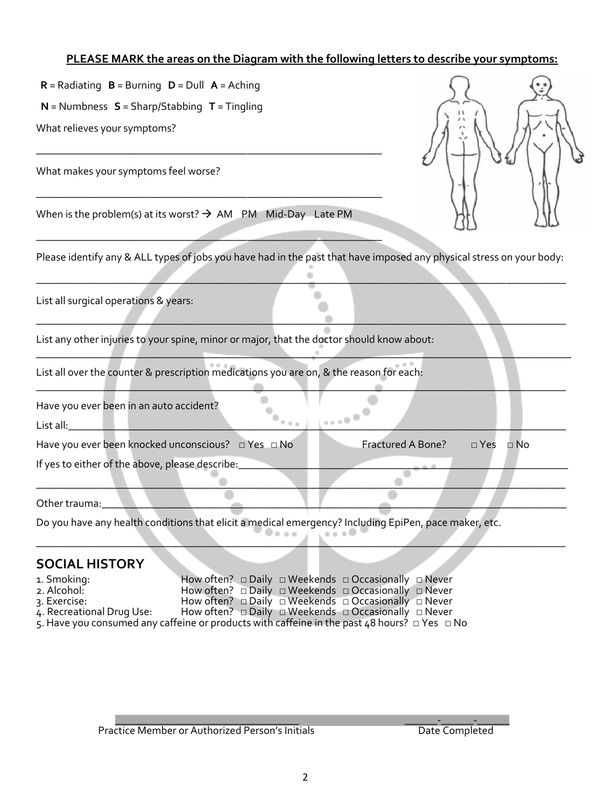#### **PLEASE MARK the areas on the Diagram with the following letters to describe your symptoms:**

 **N** = Numbness **S** = Sharp/Stabbing **T** = Tingling

What relieves your symptoms?

What makes your symptoms feel worse?



When is the problem(s) at its worst?  $\rightarrow$  AM PM Mid-Day Late PM

\_\_\_\_\_\_\_\_\_\_\_\_\_\_\_\_\_\_\_\_\_\_\_\_\_\_\_\_\_\_\_\_\_\_\_\_\_\_\_\_\_\_\_\_\_\_\_\_\_\_\_\_\_\_\_\_\_\_\_\_\_\_\_\_

\_\_\_\_\_\_\_\_\_\_\_\_\_\_\_\_\_\_\_\_\_\_\_\_\_\_\_\_\_\_\_\_\_\_\_\_\_\_\_\_\_\_\_\_\_\_\_\_\_\_\_\_\_\_\_\_\_\_\_\_\_\_\_\_

 $\mathcal{L} = \{ \mathcal{L} \mid \mathcal{L} \in \mathcal{L} \}$  , where  $\mathcal{L} = \{ \mathcal{L} \mid \mathcal{L} \in \mathcal{L} \}$  , where  $\mathcal{L} = \{ \mathcal{L} \mid \mathcal{L} \in \mathcal{L} \}$ 

Please identify any & ALL types of jobs you have had in the past that have imposed any physical stress on your body:

\_\_\_\_\_\_\_\_\_\_\_\_\_\_\_\_\_\_\_\_\_\_\_\_\_\_\_\_\_\_\_\_\_\_\_\_\_\_\_\_\_\_\_\_\_\_\_\_\_\_\_\_\_\_\_\_\_\_\_\_\_\_\_\_\_\_\_\_\_\_\_\_\_\_\_\_\_\_\_\_\_\_\_\_\_\_\_\_\_\_\_\_\_\_\_\_\_\_

\_\_\_\_\_\_\_\_\_\_\_\_\_\_\_\_\_\_\_\_\_\_\_\_\_\_\_\_\_\_\_\_\_\_\_\_\_\_\_\_\_\_\_\_\_\_\_\_\_\_\_\_\_\_\_\_\_\_\_\_\_\_\_\_\_\_\_\_\_\_\_\_\_\_\_\_\_\_\_\_\_\_\_\_\_\_\_\_\_\_\_\_\_\_\_\_\_\_

\_\_\_\_\_\_\_\_\_\_\_\_\_\_\_\_\_\_\_\_\_\_\_\_\_\_\_\_\_\_\_\_\_\_\_\_\_\_\_\_\_\_\_\_\_\_\_\_\_\_\_\_\_\_\_\_\_\_\_\_\_\_\_\_\_\_\_\_\_\_\_\_\_\_\_\_\_\_\_\_\_\_\_\_\_\_\_\_\_\_\_\_\_\_\_\_\_\_\_

\_\_\_\_\_\_\_\_\_\_\_\_\_\_\_\_\_\_\_\_\_\_\_\_\_\_\_\_\_\_\_\_\_\_\_\_\_\_\_\_\_\_\_\_\_\_\_\_\_\_\_\_\_\_\_\_\_\_\_\_\_\_\_\_\_\_\_\_\_\_\_\_\_\_\_\_\_\_\_\_\_\_\_\_\_\_\_\_\_\_\_\_\_\_\_\_\_\_

\_\_\_\_\_\_\_\_\_\_\_\_\_\_\_\_\_\_\_\_\_\_\_\_\_\_\_\_\_\_\_\_\_\_\_\_\_\_\_\_\_\_\_\_\_\_\_\_\_\_\_\_\_\_\_\_\_\_\_\_\_\_\_\_\_\_\_\_\_\_\_\_\_\_\_\_\_\_\_\_\_\_\_\_\_\_\_\_\_\_\_\_\_\_\_\_\_\_

\_\_\_\_\_\_\_\_\_\_\_\_\_\_\_\_\_\_\_\_\_\_\_\_\_\_\_\_\_\_\_\_\_\_\_\_\_\_\_\_\_\_\_\_\_\_\_\_\_\_\_\_\_\_\_\_\_\_\_\_\_\_\_\_\_\_\_\_\_\_\_\_\_\_\_\_\_\_\_\_\_\_\_\_\_\_\_\_\_\_\_\_\_\_\_\_\_\_

List all surgical operations & years:

List any other injuries to your spine, minor or major, that the doctor should know about:

List all over the counter & prescription medications you are on, & the reason for each:

Have you ever been in an auto accident?

 $\sf List \ all: \color{red} \blacksquare \color{black} \blacksquare \color{black} \blacksquare \color{black} \blacksquare \color{black} \blacksquare \color{black} \blacksquare \color{black} \blacksquare \color{black} \blacksquare \color{black} \blacksquare \color{black} \blacksquare \color{black} \blacksquare \color{black} \blacksquare \color{black} \blacksquare \color{black} \blacksquare \color{black} \blacksquare \color{black} \blacksquare \color{black} \blacksquare \color{black} \blacksquare \color{black} \blacksquare \color{black} \blacksquare \color{black} \blacksquare \color{black} \blacksquare \color{black} \blacksquare \color{black} \bl$ 

Have you ever been knocked unconscious? □ Yes □ No Fractured A Bone? □ Yes □ No

If yes to either of the above, please describe:

Other trauma:

Do you have any health conditions that elicit a medical emergency? Including EpiPen, pace maker, etc.

#### **SOCIAL HISTORY**

| 1. Smoking:               | How often? $\Box$ Daily $\Box$ Weekends $\Box$ Occasionally $\Box$ Never                               |
|---------------------------|--------------------------------------------------------------------------------------------------------|
| 2. Alcohol:               | How often? $\Box$ Daily $\Box$ Weekends $\Box$ Occasionally $\Box$ Never                               |
| 3. Exercise:              | How often? $\Box$ Daily $\Box$ Weekends $\Box$ Occasionally $\Box$ Never                               |
| 4. Recreational Drug Use: | How often? $\Box$ Daily $\Box$ Weekends $\Box$ Occasionally $\Box$ Never                               |
|                           | 5. Have you consumed any caffeine or products with caffeine in the past 48 hours? $\Box$ Yes $\Box$ No |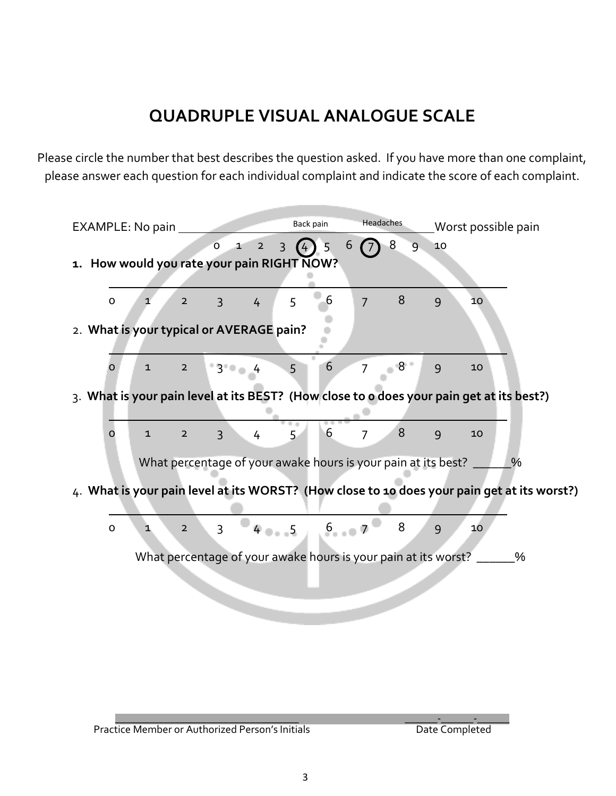## **QUADRUPLE VISUAL ANALOGUE SCALE**

Please circle the number that best describes the question asked. If you have more than one complaint, please answer each question for each individual complaint and indicate the score of each complaint.

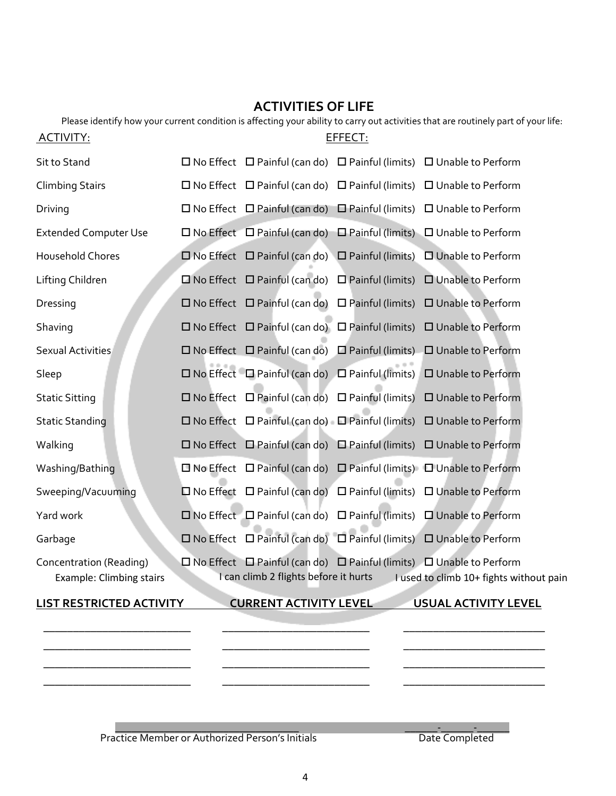# **ACTIVITIES OF LIFE**

|                                                     | Please identify how your current condition is affecting your ability to carry out activities that are routinely part of your life:                        |
|-----------------------------------------------------|-----------------------------------------------------------------------------------------------------------------------------------------------------------|
| <u>ACTIVITY:</u>                                    | EFFECT:                                                                                                                                                   |
| Sit to Stand                                        | $\Box$ No Effect $\Box$ Painful (can do) $\Box$ Painful (limits) $\Box$ Unable to Perform                                                                 |
| <b>Climbing Stairs</b>                              | $\Box$ No Effect $\Box$ Painful (can do) $\Box$ Painful (limits) $\Box$ Unable to Perform                                                                 |
| Driving                                             | $\Box$ No Effect $\Box$ Painful (can do) $\Box$ Painful (limits) $\Box$ Unable to Perform                                                                 |
| <b>Extended Computer Use</b>                        | $\square$ No Effect $\square$ Painful (can do) $\square$ Painful (limits) $\square$ Unable to Perform                                                     |
| Household Chores                                    | $\square$ No Effect $\square$ Painful (can do) $\square$ Painful (limits)<br>□ Unable to Perform                                                          |
| Lifting Children                                    | $\square$ No Effect $\square$ Painful (can do) $\square$ Painful (limits)<br>□ Unable to Perform                                                          |
| Dressing                                            | $\square$ No Effect $\square$ Painful (can do) $\square$ Painful (limits) $\square$ Unable to Perform                                                     |
| Shaving                                             | $\square$ No Effect $\square$ Painful (can do) $\square$ Painful (limits) $\square$ Unable to Perform                                                     |
| <b>Sexual Activities</b>                            | $\square$ No Effect $\square$ Painful (can do) $\square$ Painful (limits) $\square$ Unable to Perform                                                     |
| Sleep                                               | $\square$ No Effect $\square$ Painful (can do) $\square$ Painful (limits) $\square$ Unable to Perform                                                     |
| <b>Static Sitting</b>                               | $\Box$ No Effect $\Box$ Painful (can do) $\Box$ Painful (limits) $\Box$ Unable to Perform                                                                 |
| <b>Static Standing</b>                              | $\square$ No Effect $\square$ Painful (can do) $\square$ Painful (limits) $\square$ Unable to Perform                                                     |
| Walking                                             | $\Box$ No Effect $\Box$ Painful (can do) $\Box$ Painful (limits) $\Box$ Unable to Perform                                                                 |
| Washing/Bathing                                     | $\Box$ No Effect $\Box$ Painful (can do) $\Box$ Painful (limits) $\Box$ Unable to Perform                                                                 |
| Sweeping/Vacuuming                                  | $\square$ No Effect $\square$ Painful (can do) $\square$ Painful (limits) $\square$ Unable to Perform                                                     |
| Yard work                                           | $\square$ No Effect $\square$ Painful (can do) $\square$ Painful (limits) $\square$ Unable to Perform                                                     |
| Garbage                                             | □ No Effect □ Painful (can do) □ Painful (limits) □ Unable to Perform                                                                                     |
| Concentration (Reading)<br>Example: Climbing stairs | □ No Effect □ Painful (can do) □ Painful (limits) □ Unable to Perform<br>I can climb 2 flights before it hurts<br>I used to climb 10+ fights without pain |
| <b>LIST RESTRICTED ACTIVITY</b>                     | <b>CURRENT ACTIVITY LEVEL</b><br>USUAL ACTIVITY LEVEL                                                                                                     |
|                                                     |                                                                                                                                                           |
|                                                     |                                                                                                                                                           |
|                                                     |                                                                                                                                                           |

 $\_$  , and the set of the set of the set of the set of the set of the set of the set of the set of the set of the set of the set of the set of the set of the set of the set of the set of the set of the set of the set of th Practice Member or Authorized Person's Initials **Example 2** Date Completed

\_\_\_\_\_\_\_\_\_\_\_\_\_\_\_\_\_\_\_\_\_\_\_\_\_ \_\_\_\_\_\_\_\_\_\_\_\_\_\_\_\_\_\_\_\_\_\_\_\_\_ \_\_\_\_\_\_\_\_\_\_\_\_\_\_\_\_\_\_\_\_\_\_\_\_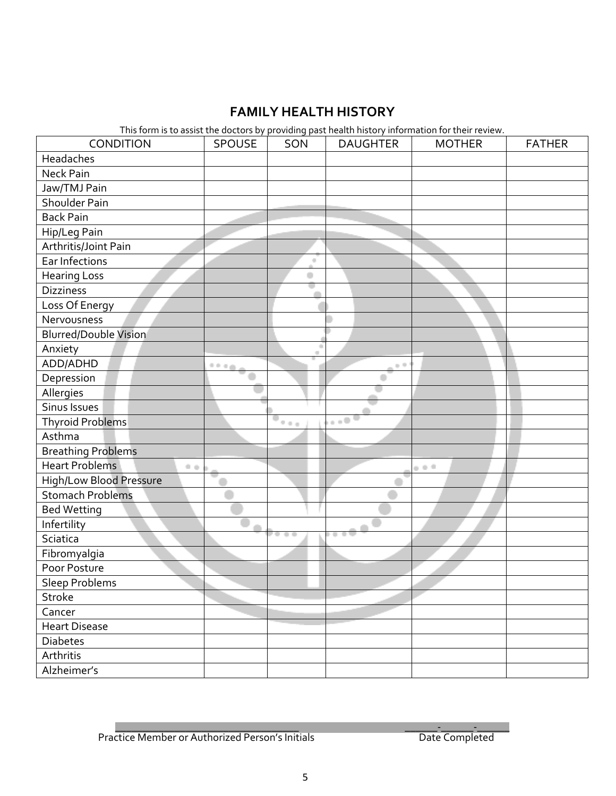## **FAMILY HEALTH HISTORY**

This form is to assist the doctors by providing past health history information for their review.

| CONDITION                      | SPOUSE      | SON                                              | <b>DAUGHTER</b>             | <b>MOTHER</b> | <b>FATHER</b> |
|--------------------------------|-------------|--------------------------------------------------|-----------------------------|---------------|---------------|
| Headaches                      |             |                                                  |                             |               |               |
| <b>Neck Pain</b>               |             |                                                  |                             |               |               |
| Jaw/TMJ Pain                   |             |                                                  |                             |               |               |
| Shoulder Pain                  |             |                                                  |                             |               |               |
| <b>Back Pain</b>               |             |                                                  |                             |               |               |
| Hip/Leg Pain                   |             |                                                  |                             |               |               |
| Arthritis/Joint Pain           |             |                                                  |                             |               |               |
| Ear Infections                 |             | $\alpha$                                         |                             |               |               |
| <b>Hearing Loss</b>            |             | ۰                                                |                             |               |               |
| <b>Dizziness</b>               |             |                                                  |                             |               |               |
| Loss Of Energy                 |             |                                                  |                             |               |               |
| Nervousness                    |             |                                                  |                             |               |               |
| <b>Blurred/Double Vision</b>   |             |                                                  |                             |               |               |
| Anxiety                        |             |                                                  |                             |               |               |
| ADD/ADHD                       | <b>9946</b> |                                                  | $+1$                        |               |               |
| Depression                     |             |                                                  |                             |               |               |
| Allergies                      |             |                                                  |                             |               |               |
| Sinus Issues                   |             |                                                  |                             |               |               |
| <b>Thyroid Problems</b>        |             | $\overline{\phantom{a}}_{\phantom{a}i_{1}i_{2}}$ | $_{\rm c}$ , $\overline{0}$ |               |               |
| Asthma                         |             |                                                  |                             |               |               |
| <b>Breathing Problems</b>      |             |                                                  |                             |               |               |
| <b>Heart Problems</b><br>0.0   |             |                                                  |                             | 0.01          |               |
| <b>High/Low Blood Pressure</b> |             |                                                  |                             |               |               |
| <b>Stomach Problems</b>        |             |                                                  |                             |               |               |
| <b>Bed Wetting</b>             |             |                                                  |                             |               |               |
| Infertility                    |             |                                                  |                             |               |               |
| Sciatica                       |             | . .                                              | ٠                           |               |               |
| Fibromyalgia                   |             |                                                  |                             |               |               |
| Poor Posture                   |             |                                                  |                             |               |               |
| Sleep Problems                 |             |                                                  |                             |               |               |
| Stroke                         |             |                                                  |                             |               |               |
| Cancer                         |             |                                                  |                             |               |               |
| <b>Heart Disease</b>           |             |                                                  |                             |               |               |
| <b>Diabetes</b>                |             |                                                  |                             |               |               |
| Arthritis                      |             |                                                  |                             |               |               |
| Alzheimer's                    |             |                                                  |                             |               |               |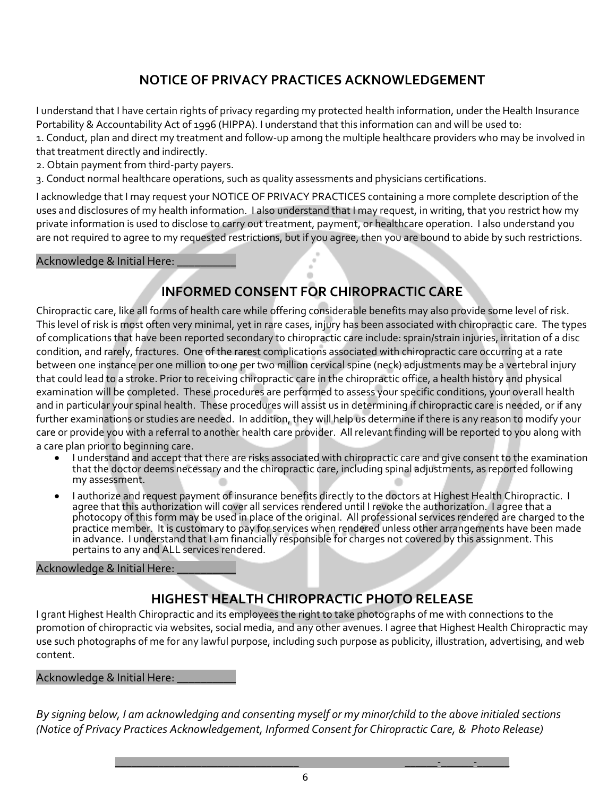## **NOTICE OF PRIVACY PRACTICES ACKNOWLEDGEMENT**

I understand that I have certain rights of privacy regarding my protected health information, under the Health Insurance Portability & Accountability Act of 1996 (HIPPA). I understand that this information can and will be used to:

1. Conduct, plan and direct my treatment and follow-up among the multiple healthcare providers who may be involved in that treatment directly and indirectly.

2. Obtain payment from third-party payers.

3. Conduct normal healthcare operations, such as quality assessments and physicians certifications.

I acknowledge that I may request your NOTICE OF PRIVACY PRACTICES containing a more complete description of the uses and disclosures of my health information. I also understand that I may request, in writing, that you restrict how my private information is used to disclose to carry out treatment, payment, or healthcare operation. I also understand you are not required to agree to my requested restrictions, but if you agree, then you are bound to abide by such restrictions.

#### Acknowledge & Initial Here:

## **INFORMED CONSENT FOR CHIROPRACTIC CARE**

Chiropractic care, like all forms of health care while offering considerable benefits may also provide some level of risk. This level of risk is most often very minimal, yet in rare cases, injury has been associated with chiropractic care. The types of complications that have been reported secondary to chiropractic care include: sprain/strain injuries, irritation of a disc condition, and rarely, fractures. One of the rarest complications associated with chiropractic care occurring at a rate between one instance per one million to one per two million cervical spine (neck) adjustments may be a vertebral injury that could lead to a stroke. Prior to receiving chiropractic care in the chiropractic office, a health history and physical examination will be completed. These procedures are performed to assess your specific conditions, your overall health and in particular your spinal health. These procedures will assist us in determining if chiropractic care is needed, or if any further examinations or studies are needed. In addition, they will help us determine if there is any reason to modify your care or provide you with a referral to another health care provider. All relevant finding will be reported to you along with a care plan prior to beginning care.

- I understand and accept that there are risks associated with chiropractic care and give consent to the examination that the doctor deems necessary and the chiropractic care, including spinal adjustments, as reported following my assessment.
- I authorize and request payment of insurance benefits directly to the doctors at Highest Health Chiropractic. I agree that this authorization will cover all services rendered until I revoke the authorization. I agree that a photocopy of this form may be used in place of the original. All professional services rendered are charged to the practice member. It is customary to pay for services when rendered unless other arrangements have been made in advance. I understand that I am financially responsible for charges not covered by this assignment. This pertains to any and ALL services rendered.

#### Acknowledge & Initial Here: \_

## **HIGHEST HEALTH CHIROPRACTIC PHOTO RELEASE**

I grant Highest Health Chiropractic and its employees the right to take photographs of me with connections to the promotion of chiropractic via websites, social media, and any other avenues. I agree that Highest Health Chiropractic may use such photographs of me for any lawful purpose, including such purpose as publicity, illustration, advertising, and web content.

#### Acknowledge & Initial Here:

*By signing below, I am acknowledging and consenting myself or my minor/child to the above initialed sections (Notice of Privacy Practices Acknowledgement, Informed Consent for Chiropractic Care, & Photo Release)*

\_\_\_\_\_\_\_\_\_\_\_\_\_\_\_\_\_\_\_\_\_\_\_\_\_\_\_\_\_\_\_\_\_\_ \_\_\_\_\_\_-\_\_\_\_\_\_-\_\_\_\_\_\_